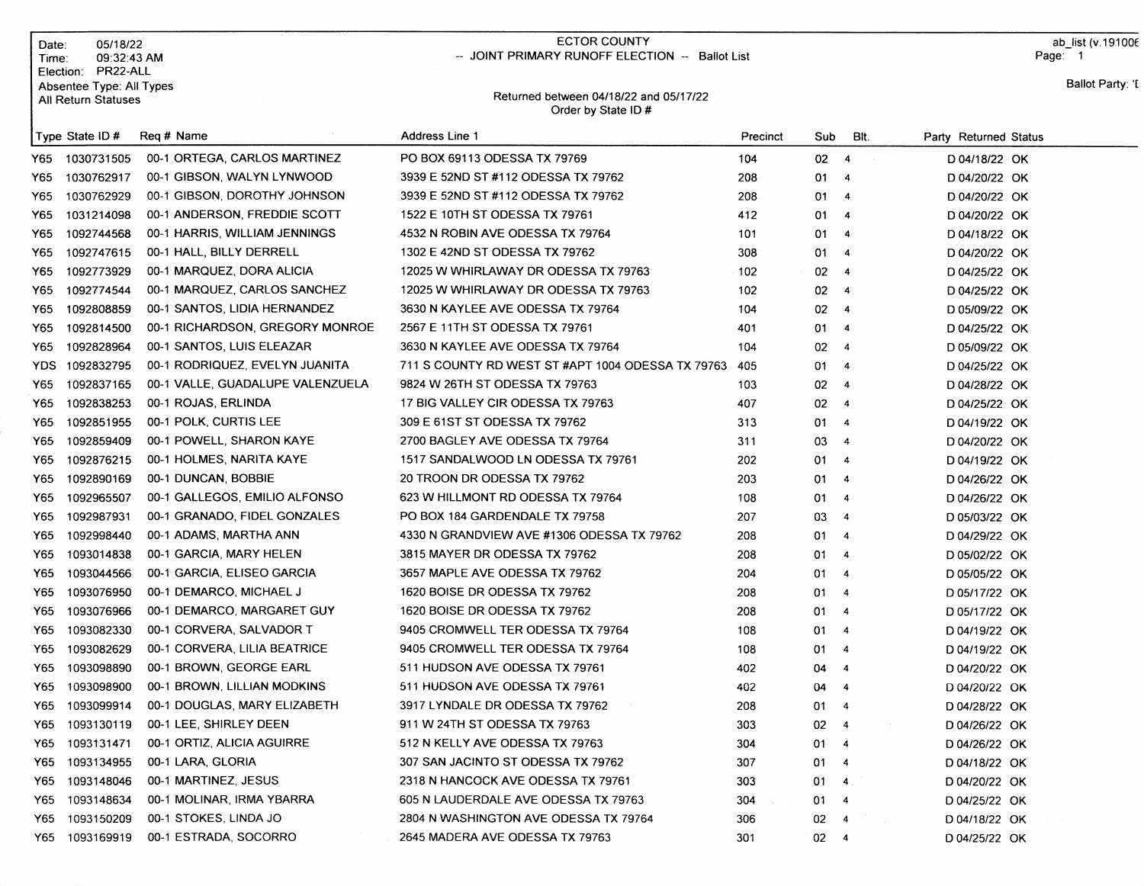|                                                        | Date:<br>Time:<br>Election: | 05/18/22<br>09:32:43 AM<br>PR22-ALL |                                                              | <b>ECTOR COUNTY</b><br>-- JOINT PRIMARY RUNOFF ELECTION -- Ballot List |          |              |                         |                       | ab list (v.191006<br>Page: 1 |
|--------------------------------------------------------|-----------------------------|-------------------------------------|--------------------------------------------------------------|------------------------------------------------------------------------|----------|--------------|-------------------------|-----------------------|------------------------------|
| Absentee Type: All Types<br><b>All Return Statuses</b> |                             |                                     | Returned between 04/18/22 and 05/17/22<br>Order by State ID# |                                                                        |          |              |                         | Ballot Party: 'I      |                              |
|                                                        |                             | Type State ID#                      | Reg # Name                                                   | Address Line 1                                                         | Precinct | Sub          | BIt.                    | Party Returned Status |                              |
|                                                        | Y65                         | 1030731505                          | 00-1 ORTEGA, CARLOS MARTINEZ                                 | PO BOX 69113 ODESSA TX 79769                                           | 104      | 02           | $\overline{4}$          | D 04/18/22 OK         |                              |
|                                                        | Y65                         | 1030762917                          | 00-1 GIBSON, WALYN LYNWOOD                                   | 3939 E 52ND ST #112 ODESSA TX 79762                                    | 208      | 01           | $\overline{4}$          | D 04/20/22 OK         |                              |
|                                                        | Y65                         | 1030762929                          | 00-1 GIBSON, DOROTHY JOHNSON                                 | 3939 E 52ND ST #112 ODESSA TX 79762                                    | 208      | 01           | $\overline{4}$          | D 04/20/22 OK         |                              |
|                                                        | Y65                         | 1031214098                          | 00-1 ANDERSON, FREDDIE SCOTT                                 | 1522 E 10TH ST ODESSA TX 79761                                         | 412      | 01           | $\overline{\mathbf{4}}$ | D 04/20/22 OK         |                              |
|                                                        | Y65                         | 1092744568                          | 00-1 HARRIS, WILLIAM JENNINGS                                | 4532 N ROBIN AVE ODESSA TX 79764                                       | 101      | 01           | $\overline{\mathbf{4}}$ | D 04/18/22 OK         |                              |
|                                                        | Y65                         | 1092747615                          | 00-1 HALL, BILLY DERRELL                                     | 1302 E 42ND ST ODESSA TX 79762                                         | 308      | 01           | $\overline{4}$          | D 04/20/22 OK         |                              |
|                                                        | Y65                         | 1092773929                          | 00-1 MARQUEZ, DORA ALICIA                                    | 12025 W WHIRLAWAY DR ODESSA TX 79763                                   | 102      | 02           | $\overline{4}$          | D 04/25/22 OK         |                              |
|                                                        | Y65                         | 1092774544                          | 00-1 MARQUEZ, CARLOS SANCHEZ                                 | 12025 W WHIRLAWAY DR ODESSA TX 79763                                   | 102      | 02           | $\overline{4}$          | D 04/25/22 OK         |                              |
|                                                        | Y65                         | 1092808859                          | 00-1 SANTOS, LIDIA HERNANDEZ                                 | 3630 N KAYLEE AVE ODESSA TX 79764                                      | 104      | 02           | $\overline{4}$          | D 05/09/22 OK         |                              |
|                                                        | Y65                         | 1092814500                          | 00-1 RICHARDSON, GREGORY MONROE                              | 2567 E 11TH ST ODESSA TX 79761                                         | 401      | 01           | $\overline{4}$          | D 04/25/22 OK         |                              |
|                                                        | Y65.                        | 1092828964                          | 00-1 SANTOS, LUIS ELEAZAR                                    | 3630 N KAYLEE AVE ODESSA TX 79764                                      | 104      | 02           | $\overline{4}$          | D 05/09/22 OK         |                              |
|                                                        | YDS.                        | 1092832795                          | 00-1 RODRIQUEZ, EVELYN JUANITA                               | 711 S COUNTY RD WEST ST #APT 1004 ODESSA TX 79763                      | -405     | 01           | $\overline{4}$          | D 04/25/22 OK         |                              |
|                                                        | Y65                         | 1092837165                          | 00-1 VALLE, GUADALUPE VALENZUELA                             | 9824 W 26TH ST ODESSA TX 79763                                         | 103      | 02           | $\overline{4}$          | D 04/28/22 OK         |                              |
|                                                        | Y65                         | 1092838253                          | 00-1 ROJAS, ERLINDA                                          | 17 BIG VALLEY CIR ODESSA TX 79763                                      | 407      | 02           | $\overline{4}$          | D 04/25/22 OK         |                              |
|                                                        | Y65.                        | 1092851955                          | 00-1 POLK, CURTIS LEE                                        | 309 E 61ST ST ODESSA TX 79762                                          | 313      | 01           | $\overline{4}$          | D 04/19/22 OK         |                              |
|                                                        | Y65                         | 1092859409                          | 00-1 POWELL, SHARON KAYE                                     | 2700 BAGLEY AVE ODESSA TX 79764                                        | 311      | 03           | $\overline{4}$          | D 04/20/22 OK         |                              |
|                                                        | Y65                         | 1092876215                          | 00-1 HOLMES, NARITA KAYE                                     | 1517 SANDALWOOD LN ODESSA TX 79761                                     | 202      | 01           | $\overline{4}$          | D 04/19/22 OK         |                              |
|                                                        | Y65.                        | 1092890169                          | 00-1 DUNCAN, BOBBIE                                          | 20 TROON DR ODESSA TX 79762                                            | 203      | 01           | $\overline{4}$          | D 04/26/22 OK         |                              |
|                                                        | Y65.                        | 1092965507                          | 00-1 GALLEGOS, EMILIO ALFONSO                                | 623 W HILLMONT RD ODESSA TX 79764                                      | 108      | 01           | $\overline{4}$          | D 04/26/22 OK         |                              |
|                                                        | Y65.                        | 1092987931                          | 00-1 GRANADO, FIDEL GONZALES                                 | PO BOX 184 GARDENDALE TX 79758                                         | 207      | 03           | $\overline{4}$          | D 05/03/22 OK         |                              |
|                                                        | Y65.                        | 1092998440                          | 00-1 ADAMS, MARTHA ANN                                       | 4330 N GRANDVIEW AVE #1306 ODESSA TX 79762                             | 208      | 01           | $\overline{4}$          | D 04/29/22 OK         |                              |
|                                                        | Y65                         | 1093014838                          | 00-1 GARCIA, MARY HELEN                                      | 3815 MAYER DR ODESSA TX 79762                                          | 208      | 01           | $\overline{\bf{4}}$     | D 05/02/22 OK         |                              |
|                                                        | Y65.                        | 1093044566                          | 00-1 GARCIA, ELISEO GARCIA                                   | 3657 MAPLE AVE ODESSA TX 79762                                         | 204      | 01           | $\overline{4}$          | D 05/05/22 OK         |                              |
|                                                        | Y65.                        | 1093076950                          | 00-1 DEMARCO, MICHAEL J                                      | 1620 BOISE DR ODESSA TX 79762                                          | 208      | 01           | $\overline{4}$          | D 05/17/22 OK         |                              |
|                                                        | Y65.                        | 1093076966                          | 00-1 DEMARCO, MARGARET GUY                                   | 1620 BOISE DR ODESSA TX 79762                                          | 208      | 01           | $\overline{4}$          | D 05/17/22 OK         |                              |
|                                                        | Y65                         | 1093082330                          | 00-1 CORVERA, SALVADOR T                                     | 9405 CROMWELL TER ODESSA TX 79764                                      | 108      | 01           | -4                      | D 04/19/22 OK         |                              |
|                                                        | Y65                         | 1093082629                          | 00-1 CORVERA, LILIA BEATRICE                                 | 9405 CROMWELL TER ODESSA TX 79764                                      | 108      | 01           | $\overline{\bf{4}}$     | D 04/19/22 OK         |                              |
|                                                        | Y65.                        | 1093098890                          | 00-1 BROWN, GEORGE EARL                                      | 511 HUDSON AVE ODESSA TX 79761                                         | 402      | 04           | $\overline{4}$          | D 04/20/22 OK         |                              |
|                                                        |                             |                                     | Y65 1093098900 00-1 BROWN, LILLIAN MODKINS                   | 511 HUDSON AVE ODESSA TX 79761                                         | 402      | 04 4         |                         | D 04/20/22 OK         |                              |
|                                                        | Y65                         | 1093099914                          | 00-1 DOUGLAS, MARY ELIZABETH                                 | 3917 LYNDALE DR ODESSA TX 79762                                        | 208      | 01.          | $\overline{4}$          | D 04/28/22 OK         |                              |
|                                                        | Y65                         | 1093130119                          | 00-1 LEE, SHIRLEY DEEN                                       | 911 W 24TH ST ODESSA TX 79763                                          | 303      | 02           | $\overline{\mathbf{4}}$ | D 04/26/22 OK         |                              |
|                                                        | Y65                         | 1093131471                          | 00-1 ORTIZ, ALICIA AGUIRRE                                   | 512 N KELLY AVE ODESSA TX 79763                                        | 304      | 01           | 4                       | D 04/26/22 OK         |                              |
|                                                        | Y65                         | 1093134955                          | 00-1 LARA, GLORIA                                            | 307 SAN JACINTO ST ODESSA TX 79762                                     | 307      | 01           | 4                       | D 04/18/22 OK         |                              |
|                                                        | Y65                         | 1093148046                          | 00-1 MARTINEZ, JESUS                                         | 2318 N HANCOCK AVE ODESSA TX 79761                                     | 303      | 01           | 4 <sup>1</sup>          | D 04/20/22 OK         |                              |
|                                                        | Y65                         | 1093148634                          | 00-1 MOLINAR, IRMA YBARRA                                    | 605 N LAUDERDALE AVE ODESSA TX 79763                                   | 304      | $01 \quad 4$ |                         | D 04/25/22 OK         |                              |
|                                                        | Y65                         | 1093150209                          | 00-1 STOKES, LINDA JO                                        | 2804 N WASHINGTON AVE ODESSA TX 79764                                  | 306      | 02           | $\overline{a}$          | D 04/18/22 OK         |                              |
|                                                        | Y65                         | 1093169919                          | 00-1 ESTRADA, SOCORRO                                        | 2645 MADERA AVE ODESSA TX 79763                                        | 301      | $02 \t 4$    |                         | D 04/25/22 OK         |                              |
|                                                        |                             |                                     |                                                              |                                                                        |          |              |                         |                       |                              |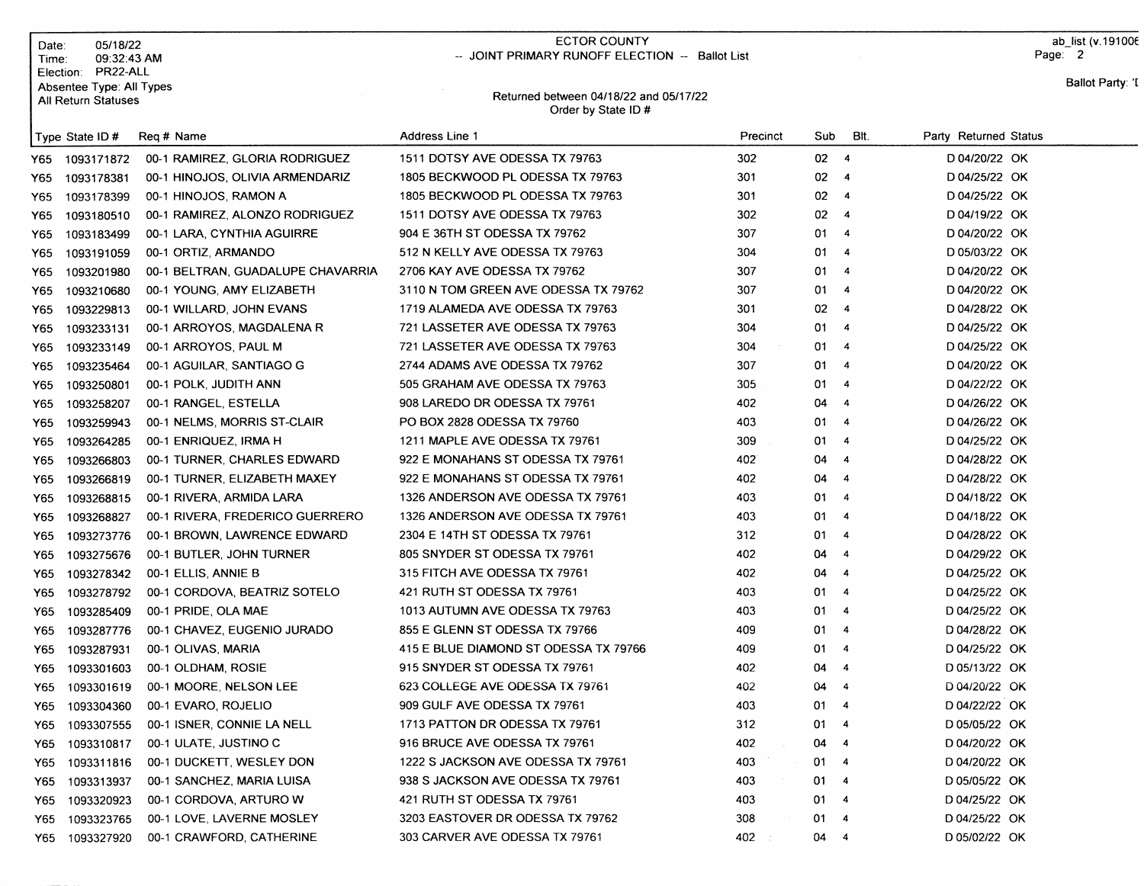| Date:<br>Time: | 05/18/22<br>09:32:43 AM              |                                       | ECTOR COUNTY<br>-- JOINT PRIMARY RUNOFF ELECTION -- Ballot List |          |          |                          |                       | ab list (v. 191006<br>Page: 2 |
|----------------|--------------------------------------|---------------------------------------|-----------------------------------------------------------------|----------|----------|--------------------------|-----------------------|-------------------------------|
| Election:      | PR22-ALL<br>Absentee Type: All Types |                                       | Returned between 04/18/22 and 05/17/22                          |          |          |                          |                       | Ballot Party: 'I              |
|                | All Return Statuses                  |                                       | Order by State ID #                                             |          |          |                          |                       |                               |
|                | Type State ID#                       | Reg # Name                            | Address Line 1                                                  | Precinct | Sub      | BIt.                     | Party Returned Status |                               |
| Y65            | 1093171872                           | 00-1 RAMIREZ, GLORIA RODRIGUEZ        | 1511 DOTSY AVE ODESSA TX 79763                                  | 302      | $02 - 4$ |                          | D 04/20/22 OK         |                               |
| Y65            | 1093178381                           | 00-1 HINOJOS, OLIVIA ARMENDARIZ       | 1805 BECKWOOD PL ODESSA TX 79763                                | 301      | 02       | $\overline{4}$           | D 04/25/22 OK         |                               |
| Y65            | 1093178399                           | 00-1 HINOJOS, RAMON A                 | 1805 BECKWOOD PL ODESSA TX 79763                                | 301      | $02 - 4$ |                          | D 04/25/22 OK         |                               |
| Y65            | 1093180510                           | 00-1 RAMIREZ, ALONZO RODRIGUEZ        | 1511 DOTSY AVE ODESSA TX 79763                                  | 302      | 02       | $\overline{4}$           | D 04/19/22 OK         |                               |
| Y65            | 1093183499                           | 00-1 LARA, CYNTHIA AGUIRRE            | 904 E 36TH ST ODESSA TX 79762                                   | 307      | 01       | $\overline{4}$           | D 04/20/22 OK         |                               |
| Y65            | 1093191059                           | 00-1 ORTIZ, ARMANDO                   | 512 N KELLY AVE ODESSA TX 79763                                 | 304      | 01       | $\overline{4}$           | D 05/03/22 OK         |                               |
| Y65            | 1093201980                           | 00-1 BELTRAN, GUADALUPE CHAVARRIA     | 2706 KAY AVE ODESSA TX 79762                                    | 307      | 01       | $\overline{4}$           | D 04/20/22 OK         |                               |
| Y65.           | 1093210680                           | 00-1 YOUNG, AMY ELIZABETH             | 3110 N TOM GREEN AVE ODESSA TX 79762                            | 307      | 01       | $\overline{4}$           | D 04/20/22 OK         |                               |
| Y65.           | 1093229813                           | 00-1 WILLARD, JOHN EVANS              | 1719 ALAMEDA AVE ODESSA TX 79763                                | 301      | 02 4     |                          | D 04/28/22 OK         |                               |
| Y65            | 1093233131                           | 00-1 ARROYOS, MAGDALENA R             | 721 LASSETER AVE ODESSA TX 79763                                | 304      | 01       | $\overline{4}$           | D 04/25/22 OK         |                               |
| Y65            | 1093233149                           | 00-1 ARROYOS, PAUL M                  | 721 LASSETER AVE ODESSA TX 79763                                | 304      | 01       | -4                       | D 04/25/22 OK         |                               |
| Y65            | 1093235464                           | 00-1 AGUILAR, SANTIAGO G              | 2744 ADAMS AVE ODESSA TX 79762                                  | 307      | 01       | $\overline{4}$           | D 04/20/22 OK         |                               |
| Y65            | 1093250801                           | 00-1 POLK, JUDITH ANN                 | 505 GRAHAM AVE ODESSA TX 79763                                  | 305      | 01       | $\overline{4}$           | D 04/22/22 OK         |                               |
| Y65            | 1093258207                           | 00-1 RANGEL, ESTELLA                  | 908 LAREDO DR ODESSA TX 79761                                   | 402      | 04       | $\overline{4}$           | D 04/26/22 OK         |                               |
| Y65.           | 1093259943                           | 00-1 NELMS, MORRIS ST-CLAIR           | PO BOX 2828 ODESSA TX 79760                                     | 403      | 01       | $\overline{\phantom{a}}$ | D 04/26/22 OK         |                               |
| Y65            | 1093264285                           | 00-1 ENRIQUEZ, IRMA H                 | 1211 MAPLE AVE ODESSA TX 79761                                  | 309      | 01       | -4                       | D 04/25/22 OK         |                               |
| Y65.           | 1093266803                           | 00-1 TURNER, CHARLES EDWARD           | 922 E MONAHANS ST ODESSA TX 79761                               | 402      | 04       | $\overline{4}$           | D 04/28/22 OK         |                               |
| Y65            | 1093266819                           | 00-1 TURNER, ELIZABETH MAXEY          | 922 E MONAHANS ST ODESSA TX 79761                               | 402      | 04       | $\overline{4}$           | D 04/28/22 OK         |                               |
| Y65            | 1093268815                           | 00-1 RIVERA, ARMIDA LARA              | 1326 ANDERSON AVE ODESSA TX 79761                               | 403      | 01       | $\overline{4}$           | D 04/18/22 OK         |                               |
| Y65            | 1093268827                           | 00-1 RIVERA, FREDERICO GUERRERO       | 1326 ANDERSON AVE ODESSA TX 79761                               | 403      | 01       | $\overline{4}$           | D 04/18/22 OK         |                               |
| Y65            | 1093273776                           | 00-1 BROWN, LAWRENCE EDWARD           | 2304 E 14TH ST ODESSA TX 79761                                  | 312      | 01       | $\overline{4}$           | D 04/28/22 OK         |                               |
| Y65            | 1093275676                           | 00-1 BUTLER, JOHN TURNER              | 805 SNYDER ST ODESSA TX 79761                                   | 402      | 04       | $\overline{4}$           | D 04/29/22 OK         |                               |
| Y65            | 1093278342                           | 00-1 ELLIS, ANNIE B                   | 315 FITCH AVE ODESSA TX 79761                                   | 402      | 04       | $\overline{4}$           | D 04/25/22 OK         |                               |
| Y65            | 1093278792                           | 00-1 CORDOVA, BEATRIZ SOTELO          | 421 RUTH ST ODESSA TX 79761                                     | 403      | 01       | $\overline{4}$           | D 04/25/22 OK         |                               |
| Y65            | 1093285409                           | 00-1 PRIDE, OLA MAE                   | 1013 AUTUMN AVE ODESSA TX 79763                                 | 403      | 01       | $\overline{4}$           | D 04/25/22 OK         |                               |
| Y65            | 1093287776                           | 00-1 CHAVEZ, EUGENIO JURADO           | 855 E GLENN ST ODESSA TX 79766                                  | 409      | 01       | -4                       | D 04/28/22 OK         |                               |
| Y65            | 1093287931                           | 00-1 OLIVAS, MARIA                    | 415 E BLUE DIAMOND ST ODESSA TX 79766                           | 409      | 01       | -4                       | D 04/25/22 OK         |                               |
| Y65.           | 1093301603                           | 00-1 OLDHAM, ROSIE                    | 915 SNYDER ST ODESSA TX 79761                                   | 402      | 04       | -4                       | D 05/13/22 OK         |                               |
|                |                                      | Y65 1093301619 00-1 MOORE, NELSON LEE | 623 COLLEGE AVE ODESSA TX 79761                                 | 402      | 04 4     |                          | D 04/20/22 OK         |                               |
| Y65            | 1093304360                           | 00-1 EVARO, ROJELIO                   | 909 GULF AVE ODESSA TX 79761                                    | 403      | 01 4     |                          | D 04/22/22 OK         |                               |
| Y65            | 1093307555                           | 00-1 ISNER, CONNIE LA NELL            | 1713 PATTON DR ODESSA TX 79761                                  | 312      | 01       | 4                        | D 05/05/22 OK         |                               |
| Y65            | 1093310817                           | 00-1 ULATE, JUSTINO C                 | 916 BRUCE AVE ODESSA TX 79761                                   | 402      | 04 4     |                          | D 04/20/22 OK         |                               |
| Y65            | 1093311816                           | 00-1 DUCKETT, WESLEY DON              | 1222 S JACKSON AVE ODESSA TX 79761                              | 403      | 01 4     |                          | D 04/20/22 OK         |                               |
| Y65            | 1093313937                           | 00-1 SANCHEZ, MARIA LUISA             | 938 S JACKSON AVE ODESSA TX 79761                               | 403      | 01 -     | 4                        | D 05/05/22 OK         |                               |
| Y65            | 1093320923                           | 00-1 CORDOVA, ARTURO W                | 421 RUTH ST ODESSA TX 79761                                     | 403      | 01 -     | $\overline{4}$           | D 04/25/22 OK         |                               |
| Y65            | 1093323765                           | 00-1 LOVE, LAVERNE MOSLEY             | 3203 EASTOVER DR ODESSA TX 79762                                | 308      | 01       | $\overline{\mathbf{A}}$  | D 04/25/22 OK         |                               |
| Y65            | 1093327920                           | 00-1 CRAWFORD, CATHERINE              | 303 CARVER AVE ODESSA TX 79761                                  | 402      | 04.4     |                          | D 05/02/22 OK         |                               |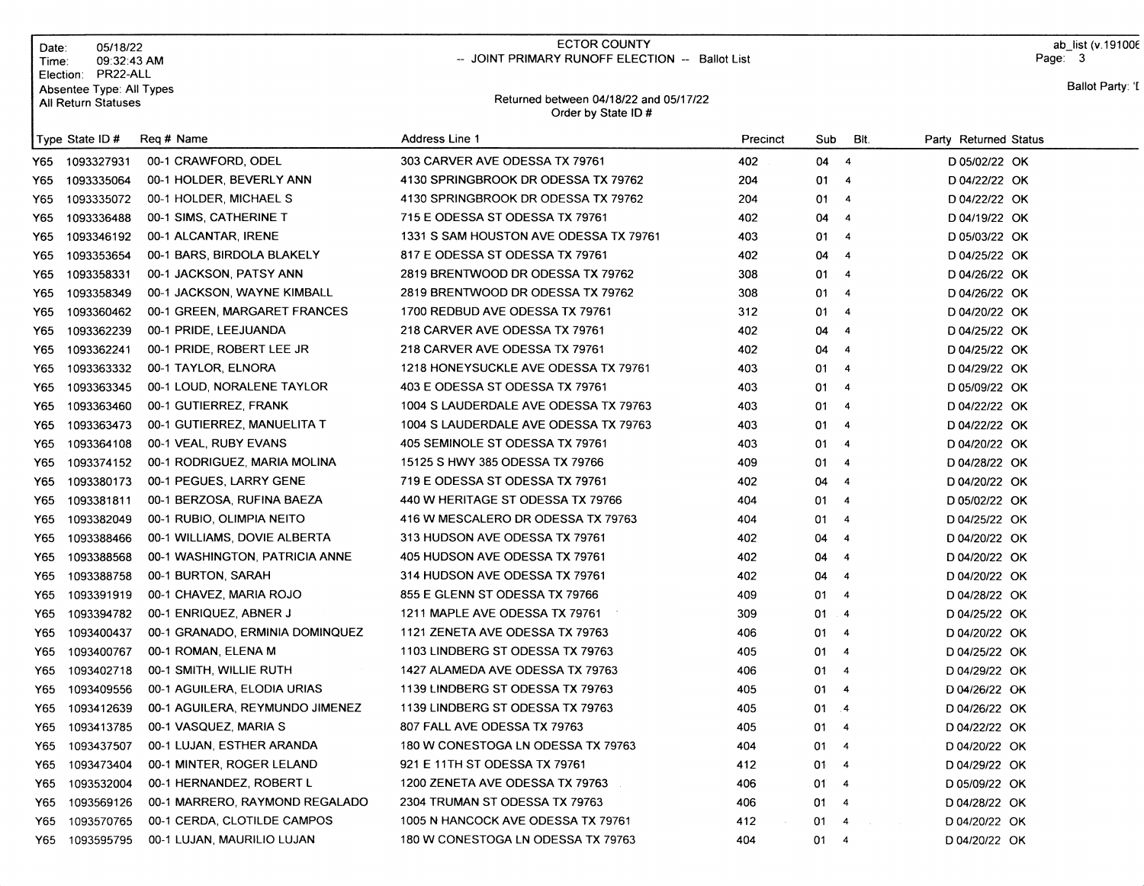| Date∶<br>Time∶ | 05/18/22<br>09:32:43 AM                                                      |                                 | <b>ECTOR COUNTY</b><br>-- JOINT PRIMARY RUNOFF ELECTION -- Ballot List |          |           |                         |                       | ab list (v. 19100 $6$<br>Page: 3 |  |
|----------------|------------------------------------------------------------------------------|---------------------------------|------------------------------------------------------------------------|----------|-----------|-------------------------|-----------------------|----------------------------------|--|
|                | Election: PR22-ALL<br>Absentee Type: All Types<br><b>All Return Statuses</b> |                                 | Returned between 04/18/22 and 05/17/22<br>Order by State ID#           |          |           |                         | Ballot Party: 'I      |                                  |  |
|                | Type State ID#                                                               | Reg # Name                      | Address Line 1                                                         | Precinct | Sub       | BIt.                    | Party Returned Status |                                  |  |
| Y65.           | 1093327931                                                                   | 00-1 CRAWFORD, ODEL             | 303 CARVER AVE ODESSA TX 79761                                         | 402      | 04        | $\overline{4}$          | D 05/02/22 OK         |                                  |  |
| Y65.           | 1093335064                                                                   | 00-1 HOLDER, BEVERLY ANN        | 4130 SPRINGBROOK DR ODESSA TX 79762                                    | 204      | 01        | $\overline{\mathbf{4}}$ | D 04/22/22 OK         |                                  |  |
| Y65            | 1093335072                                                                   | 00-1 HOLDER, MICHAEL S          | 4130 SPRINGBROOK DR ODESSA TX 79762                                    | 204      | 01        | $\overline{4}$          | D 04/22/22 OK         |                                  |  |
| Y65            | 1093336488                                                                   | 00-1 SIMS, CATHERINE T          | 715 E ODESSA ST ODESSA TX 79761                                        | 402      | 04        | $\overline{4}$          | D 04/19/22 OK         |                                  |  |
| Y65.           | 1093346192                                                                   | 00-1 ALCANTAR, IRENE            | 1331 S SAM HOUSTON AVE ODESSA TX 79761                                 | 403      | 01        | $\overline{4}$          | D 05/03/22 OK         |                                  |  |
| Y65.           | 1093353654                                                                   | 00-1 BARS, BIRDOLA BLAKELY      | 817 E ODESSA ST ODESSA TX 79761                                        | 402      | 04        | $\overline{4}$          | D 04/25/22 OK         |                                  |  |
| Y65.           | 1093358331                                                                   | 00-1 JACKSON, PATSY ANN         | 2819 BRENTWOOD DR ODESSA TX 79762                                      | 308      | 01        | 4                       | D 04/26/22 OK         |                                  |  |
| Y65.           | 1093358349                                                                   | 00-1 JACKSON, WAYNE KIMBALL     | 2819 BRENTWOOD DR ODESSA TX 79762                                      | 308      | 01        | $\overline{4}$          | D 04/26/22 OK         |                                  |  |
| Y65.           | 1093360462                                                                   | 00-1 GREEN, MARGARET FRANCES    | 1700 REDBUD AVE ODESSA TX 79761                                        | 312      | 01        | $\overline{4}$          | D 04/20/22 OK         |                                  |  |
| Y65            | 1093362239                                                                   | 00-1 PRIDE, LEEJUANDA           | 218 CARVER AVE ODESSA TX 79761                                         | 402      | 04        | $\overline{4}$          | D 04/25/22 OK         |                                  |  |
| Y65.           | 1093362241                                                                   | 00-1 PRIDE, ROBERT LEE JR       | 218 CARVER AVE ODESSA TX 79761                                         | 402      | 04        | $\overline{4}$          | D 04/25/22 OK         |                                  |  |
| Y65.           | 1093363332                                                                   | 00-1 TAYLOR, ELNORA             | 1218 HONEYSUCKLE AVE ODESSA TX 79761                                   | 403      | 01        | $\overline{4}$          | D 04/29/22 OK         |                                  |  |
| Y65            | 1093363345                                                                   | 00-1 LOUD, NORALENE TAYLOR      | 403 E ODESSA ST ODESSA TX 79761                                        | 403      | 01        | -4                      | D 05/09/22 OK         |                                  |  |
| Y65            | 1093363460                                                                   | 00-1 GUTIERREZ, FRANK           | 1004 S LAUDERDALE AVE ODESSA TX 79763                                  | 403      | 01        | $\overline{4}$          | D 04/22/22 OK         |                                  |  |
| Y65            | 1093363473                                                                   | 00-1 GUTIERREZ, MANUELITA T     | 1004 S LAUDERDALE AVE ODESSA TX 79763                                  | 403      | 01        | $\overline{4}$          | D 04/22/22 OK         |                                  |  |
| Y65.           | 1093364108                                                                   | 00-1 VEAL, RUBY EVANS           | 405 SEMINOLE ST ODESSA TX 79761                                        | 403      | 01        | $\cdot$ 4               | D 04/20/22 OK         |                                  |  |
| Y65.           | 1093374152                                                                   | 00-1 RODRIGUEZ, MARIA MOLINA    | 15125 S HWY 385 ODESSA TX 79766                                        | 409      | 01        | $\overline{4}$          | D 04/28/22 OK         |                                  |  |
| Y65.           | 1093380173                                                                   | 00-1 PEGUES, LARRY GENE         | 719 E ODESSA ST ODESSA TX 79761                                        | 402      | 04        | $\overline{4}$          | D 04/20/22 OK         |                                  |  |
| Y65            | 1093381811                                                                   | 00-1 BERZOSA, RUFINA BAEZA      | 440 W HERITAGE ST ODESSA TX 79766                                      | 404      | 01        | $\overline{a}$          | D 05/02/22 OK         |                                  |  |
| Y65            | 1093382049                                                                   | 00-1 RUBIO, OLIMPIA NEITO       | 416 W MESCALERO DR ODESSA TX 79763                                     | 404      | 01        | $\overline{4}$          | D 04/25/22 OK         |                                  |  |
| Y65            | 1093388466                                                                   | 00-1 WILLIAMS, DOVIE ALBERTA    | 313 HUDSON AVE ODESSA TX 79761                                         | 402      | 04        | $\overline{4}$          | D 04/20/22 OK         |                                  |  |
| Y65            | 1093388568                                                                   | 00-1 WASHINGTON, PATRICIA ANNE  | 405 HUDSON AVE ODESSA TX 79761                                         | 402      | 04        | $\overline{4}$          | D 04/20/22 OK         |                                  |  |
| Y65            | 1093388758                                                                   | 00-1 BURTON, SARAH              | 314 HUDSON AVE ODESSA TX 79761                                         | 402      | 04        | -4                      | D 04/20/22 OK         |                                  |  |
| Y65            | 1093391919                                                                   | 00-1 CHAVEZ, MARIA ROJO         | 855 E GLENN ST ODESSA TX 79766                                         | 409      | 01        | $\overline{4}$          | D 04/28/22 OK         |                                  |  |
| Y65            | 1093394782                                                                   | 00-1 ENRIQUEZ, ABNER J          | 1211 MAPLE AVE ODESSA TX 79761                                         | 309      | 01        | $\overline{4}$          | D 04/25/22 OK         |                                  |  |
| Y65            | 1093400437                                                                   | 00-1 GRANADO, ERMINIA DOMINQUEZ | 1121 ZENETA AVE ODESSA TX 79763                                        | 406      | 01        | $\overline{4}$          | D 04/20/22 OK         |                                  |  |
| Y65            | 1093400767                                                                   | 00-1 ROMAN, ELENA M             | 1103 LINDBERG ST ODESSA TX 79763                                       | 405      | 01        | $\overline{4}$          | D 04/25/22 OK         |                                  |  |
| Y65            | 1093402718                                                                   | 00-1 SMITH, WILLIE RUTH         | 1427 ALAMEDA AVE ODESSA TX 79763                                       | 406      | 01 4      |                         | D 04/29/22 OK         |                                  |  |
| Y65            | 1093409556                                                                   | 00-1 AGUILERA, ELODIA URIAS     | 1139 LINDBERG ST ODESSA TX 79763                                       | 405      | 01 4      |                         | D 04/26/22 OK         |                                  |  |
| Y65            | 1093412639                                                                   | 00-1 AGUILERA, REYMUNDO JIMENEZ | 1139 LINDBERG ST ODESSA TX 79763                                       | 405      | $01 - 4$  |                         | D 04/26/22 OK         |                                  |  |
| Y65            | 1093413785                                                                   | 00-1 VASQUEZ, MARIA S           | 807 FALL AVE ODESSA TX 79763                                           | 405      | 01        | $\overline{4}$          | D 04/22/22 OK         |                                  |  |
| Y65            | 1093437507                                                                   | 00-1 LUJAN, ESTHER ARANDA       | 180 W CONESTOGA LN ODESSA TX 79763                                     | 404      | $01 \t 4$ |                         | D 04/20/22 OK         |                                  |  |
| Y65            | 1093473404                                                                   | 00-1 MINTER, ROGER LELAND       | 921 E 11TH ST ODESSA TX 79761                                          | 412      | 01.       | $\overline{4}$          | D 04/29/22 OK         |                                  |  |
| Y65            | 1093532004                                                                   | 00-1 HERNANDEZ, ROBERT L        | 1200 ZENETA AVE ODESSA TX 79763                                        | 406      | 01.       | $\overline{4}$          | D 05/09/22 OK         |                                  |  |
| Y65            | 1093569126                                                                   | 00-1 MARRERO, RAYMOND REGALADO  | 2304 TRUMAN ST ODESSA TX 79763                                         | 406      | 01.       | -4                      | D 04/28/22 OK         |                                  |  |
| Y65            | 1093570765                                                                   | 00-1 CERDA, CLOTILDE CAMPOS     | 1005 N HANCOCK AVE ODESSA TX 79761                                     | 412      | 01        | 4                       | D 04/20/22 OK         |                                  |  |
| Y65            | 1093595795                                                                   | 00-1 LUJAN, MAURILIO LUJAN      | 180 W CONESTOGA LN ODESSA TX 79763                                     | 404      | 01 4      |                         | D 04/20/22 OK         |                                  |  |

## ECTOR COUNTY